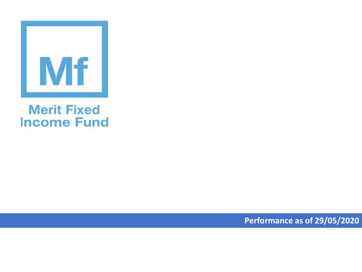

## **Merit Fixed Income Fund**

**Performance as of 29/05/2020**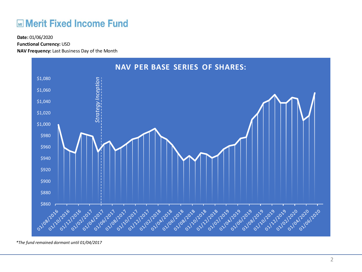## **ME Merit Fixed Income Fund**

**Functional Currency:** USD

**NAV Frequency:** Last Business Day of the Month